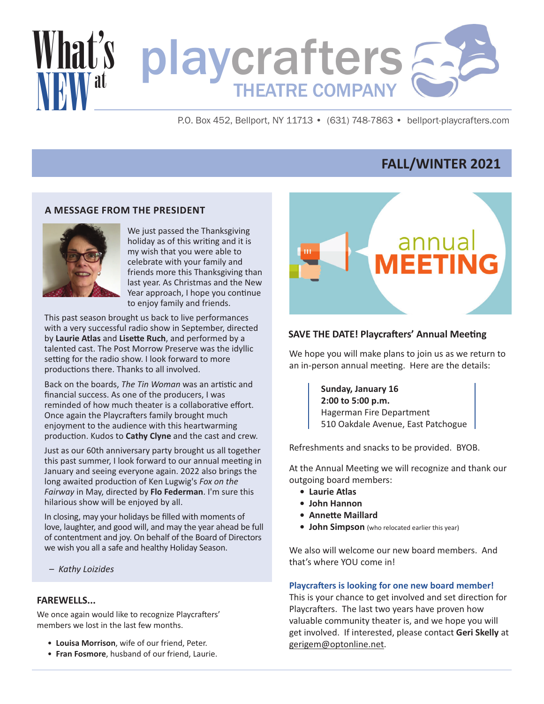

P.O. Box 452, Bellport, NY 11713 • (631) 748-7863 • bellport-playcrafters.com

# **FALL/WINTER 2021**

## **A MESSAGE FROM THE PRESIDENT**



We just passed the Thanksgiving holiday as of this writing and it is my wish that you were able to celebrate with your family and friends more this Thanksgiving than last year. As Christmas and the New Year approach, I hope you continue to enjoy family and friends.

This past season brought us back to live performances with a very successful radio show in September, directed by **Laurie Atlas** and **Lisette Ruch**, and performed by a talented cast. The Post Morrow Preserve was the idyllic setting for the radio show. I look forward to more productions there. Thanks to all involved.

Back on the boards, *The Tin Woman* was an artistic and financial success. As one of the producers, I was reminded of how much theater is a collaborative effort. Once again the Playcrafters family brought much enjoyment to the audience with this heartwarming production. Kudos to **Cathy Clyne** and the cast and crew.

Just as our 60th anniversary party brought us all together this past summer, I look forward to our annual meeting in January and seeing everyone again. 2022 also brings the long awaited production of Ken Lugwig's *Fox on the Fairway* in May, directed by **Flo Federman**. I'm sure this hilarious show will be enjoyed by all.

In closing, may your holidays be filled with moments of love, laughter, and good will, and may the year ahead be full of contentment and joy. On behalf of the Board of Directors we wish you all a safe and healthy Holiday Season.

*– Kathy Loizides*

## **FAREWELLS...**

We once again would like to recognize Playcrafters' members we lost in the last few months.

- **Louisa Morrison**, wife of our friend, Peter.
- **Fran Fosmore**, husband of our friend, Laurie.



### **SAVE THE DATE! Playcrafters' Annual Meeting**

We hope you will make plans to join us as we return to an in-person annual meeting. Here are the details:

> **Sunday, January 16 2:00 to 5:00 p.m.** Hagerman Fire Department 510 Oakdale Avenue, East Patchogue

Refreshments and snacks to be provided. BYOB.

At the Annual Meeting we will recognize and thank our outgoing board members:

- **Laurie Atlas**
- **John Hannon**
- **Annette Maillard**
- **John Simpson** (who relocated earlier this year)

We also will welcome our new board members. And that's where YOU come in!

#### **Playcrafters is looking for one new board member!**

This is your chance to get involved and set direction for Playcrafters. The last two years have proven how valuable community theater is, and we hope you will get involved. If interested, please contact **Geri Skelly** at gerigem@optonline.net.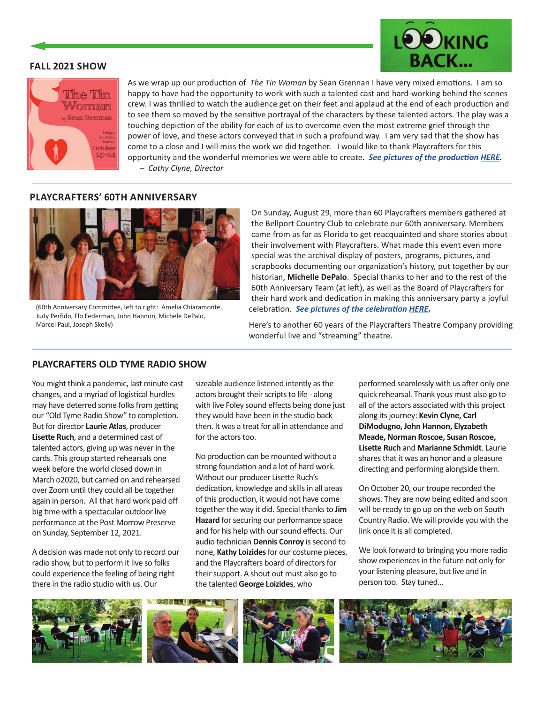### **FALL 2021 SHOW**





As we wrap up our production of *The Tin Woman* by Sean Grennan I have very mixed emotions. I am so happy to have had the opportunity to work with such a talented cast and hard-working behind the scenes crew. I was thrilled to watch the audience get on their feet and applaud at the end of each production and to see them so moved by the sensitive portrayal of the characters by these talented actors. The play was a touching depiction of the ability for each of us to overcome even the most extreme grief through the power of love, and these actors conveyed that in such a profound way. I am very sad that the show has come to a close and I will miss the work we did together. I would like to thank Playcrafters for this opportunity and the wonderful memories we were able to create. *See pictures of the production [HERE.](https://bellport-playcrafters.com/tin-woman-2021/) – Cathy Clyne, Director*

# **PLAYCRAFTERS' 60TH ANNIVERSARY**



(60th Anniversary Committee, left to right: Amelia Chiaramonte, Judy Perfido, Flo Federman, John Hannon, Michele DePalo, Marcel Paul, Joseph Skelly)

On Sunday, August 29, more than 60 Playcrafters members gathered at the Bellport Country Club to celebrate our 60th anniversary. Members came from as far as Florida to get reacquainted and share stories about their involvement with Playcrafters. What made this event even more special was the archival display of posters, programs, pictures, and scrapbooks documenting our organization's history, put together by our historian, **Michelle DePalo**. Special thanks to her and to the rest of the 60th Anniversary Team (at left), as well as the Board of Playcrafters for their hard work and dedication in making this anniversary party a joyful celebration. *See pictures of the celebration [HERE.](https://bellport-playcrafters.com/60th-anniversary-2/)*

Here's to another 60 years of the Playcrafters Theatre Company providing wonderful live and "streaming" theatre.

# **PLAYCRAFTERS OLD TYME RADIO SHOW**

You might think a pandemic, last minute cast changes, and a myriad of logistical hurdles may have deterred some folks from getting our "Old Tyme Radio Show" to completion. But for director **Laurie Atlas**, producer **Lisette Ruch**, and a determined cast of talented actors, giving up was never in the cards. This group started rehearsals one week before the world closed down in March o2020, but carried on and rehearsed over Zoom until they could all be together again in person. All that hard work paid off big time with a spectacular outdoor live performance at the Post Morrow Preserve on Sunday, September 12, 2021.

A decision was made not only to record our radio show, but to perform it live so folks could experience the feeling of being right there in the radio studio with us. Our

sizeable audience listened intently as the actors brought their scripts to life - along with live Foley sound effects being done just they would have been in the studio back then. It was a treat for all in attendance and for the actors too.

No production can be mounted without a strong foundation and a lot of hard work. Without our producer Lisette Ruch's dedication, knowledge and skills in all areas of this production, it would not have come together the way it did. Special thanks to **Jim Hazard** for securing our performance space and for his help with our sound effects. Our audio technician **Dennis Conroy** is second to none, **Kathy Loizides**for our costume pieces, and the Playcrafters board of directors for their support. A shout out must also go to the talented **George Loizides**, who

performed seamlessly with us after only one quick rehearsal. Thank yous must also go to all of the actors associated with this project along its journey: **Kevin Clyne, Carl DiModugno, John Hannon, Elyzabeth Meade, Norman Roscoe, Susan Roscoe, Lisette Ruch** and **Marianne Schmidt**. Laurie shares that it was an honor and a pleasure directing and performing alongside them.

On October 20, our troupe recorded the shows. They are now being edited and soon will be ready to go up on the web on South Country Radio. We will provide you with the link once it is all completed.

We look forward to bringing you more radio show experiences in the future not only for your listening pleasure, but live and in person too. Stay tuned…

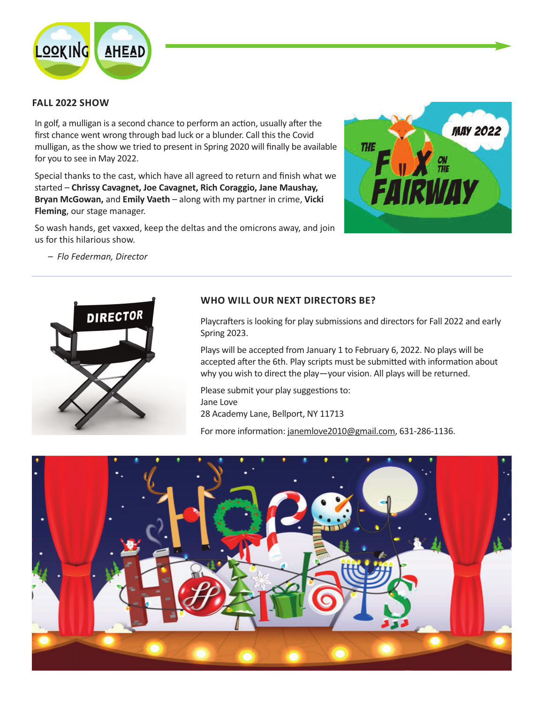

# **FALL 2022 SHOW**

In golf, a mulligan is a second chance to perform an action, usually after the first chance went wrong through bad luck or a blunder. Call this the Covid mulligan, as the show we tried to present in Spring 2020 will finally be available for you to see in May 2022.

Special thanks to the cast, which have all agreed to return and finish what we started – **Chrissy Cavagnet, Joe Cavagnet, Rich Coraggio, Jane Maushay, Bryan McGowan,** and **Emily Vaeth** – along with my partner in crime, **Vicki Fleming**, our stage manager.

So wash hands, get vaxxed, keep the deltas and the omicrons away, and join us for this hilarious show.



*– Flo Federman, Director*



# **WHO WILL OUR NEXT DIRECTORS BE?**

Playcrafters is looking for play submissions and directors for Fall 2022 and early Spring 2023.

Plays will be accepted from January 1 to February 6, 2022. No plays will be accepted after the 6th. Play scripts must be submitted with information about why you wish to direct the play—your vision. All plays will be returned.

Please submit your play suggestions to: Jane Love 28 Academy Lane, Bellport, NY 11713

For more information: janemlove2010@gmail.com, 631-286-1136.